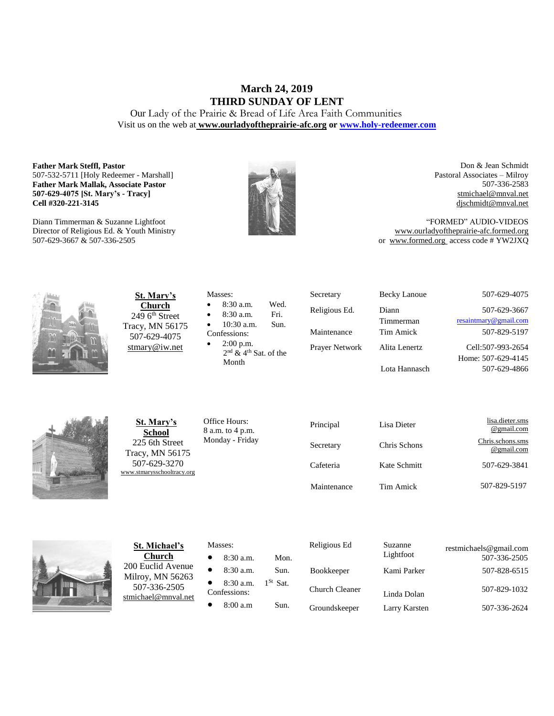## **March 24, 2019 THIRD SUNDAY OF LENT**

Our Lady of the Prairie & Bread of Life Area Faith Communities Visit us on the web at **[www.ourladyoftheprairie-afc.org](http://www.ourladyoftheprairie-afc.org/) o[r www.holy-redeemer.com](http://www.holy-redeemer.com/)**

#### **Father Mark Steffl, Pastor** 507-532-5711 [Holy Redeemer - Marshall] **Father Mark Mallak, Associate Pastor 507-629-4075 [St. Mary's - Tracy] Cell #320-221-3145**

Diann Timmerman & Suzanne Lightfoot Director of Religious Ed. & Youth Ministry 507-629-3667 & 507-336-2505



Don & Jean Schmidt Pastoral Associates – Milroy 507-336-2583 [stmichael@mnval.net](mailto:stmichael@means.net) [djschmidt@mnval.net](mailto:djschmidt@mnval.net)

"FORMED" AUDIO-VIDEOS [www.ourladyoftheprairie-afc.formed.org](http://www.ourladyoftheprairie-afc.formed.org/) or www.formed.org access code # YW2JXQ



**St. Mary's Church**  $2496$ <sup>th</sup> Street Tracy, MN 56175 507-629-4075 [stmary@iw.net](mailto:stmary@iw.net)

|              | Masses:                                                                                                                                                                                                                                                                                                                                                                                                          |      |  |
|--------------|------------------------------------------------------------------------------------------------------------------------------------------------------------------------------------------------------------------------------------------------------------------------------------------------------------------------------------------------------------------------------------------------------------------|------|--|
| $\bullet$    | $8:30$ a.m.                                                                                                                                                                                                                                                                                                                                                                                                      | Wed. |  |
| $\bullet$    | 8:30 a.m.                                                                                                                                                                                                                                                                                                                                                                                                        | Fri. |  |
| $\bullet$    | $10:30$ a.m.                                                                                                                                                                                                                                                                                                                                                                                                     | Sun. |  |
| Confessions: |                                                                                                                                                                                                                                                                                                                                                                                                                  |      |  |
| $\bullet$    | $2:00$ p.m.                                                                                                                                                                                                                                                                                                                                                                                                      |      |  |
|              | and $\rho$ ath $\sigma$ = $\epsilon$ = $\epsilon$ = $\epsilon$ = $\epsilon$ = $\epsilon$ = $\epsilon$ = $\epsilon$ = $\epsilon$ = $\epsilon$ = $\epsilon$ = $\epsilon$ = $\epsilon$ = $\epsilon$ = $\epsilon$ = $\epsilon$ = $\epsilon$ = $\epsilon$ = $\epsilon$ = $\epsilon$ = $\epsilon$ = $\epsilon$ = $\epsilon$ = $\epsilon$ = $\epsilon$ = $\epsilon$ = $\epsilon$ = $\epsilon$ = $\epsilon$ = $\epsilon$ |      |  |

2 nd & 4th Sat. of the Month

| Secretary      | <b>Becky Lanoue</b> | 507-629-4075                            |
|----------------|---------------------|-----------------------------------------|
| Religious Ed.  | Diann<br>Timmerman  | 507-629-3667<br>resaintmary@gmail.com   |
| Maintenance    | Tim Amick           | 507-829-5197                            |
| Prayer Network | Alita Lenertz       | Cell:507-993-2654<br>Home: 507-629-4145 |
|                |                     |                                         |

Lota Hannasch

2654 4145 507-629-4866



**St. Mary's School** 225 6th Street Tracy, MN 56175 507-629-3270 [www.stmarysschooltracy.org](http://www.stmarysschooltracy.org/) Office Hours: 8 a.m. to 4 p.m. Monday - Friday

| Principal   | Lisa Dieter  | lisa.dieter.sms<br>@gmail.com  |
|-------------|--------------|--------------------------------|
| Secretary   | Chris Schons | Chris.schons.sms<br>@gmail.com |
| Cafeteria   | Kate Schmitt | 507-629-3841                   |
| Maintenance | Tim Amick    | 507-829-5197                   |



**St. Michael's Church** 200 Euclid Avenue Milroy, MN 56263 507-336-2505 [stmichael@mnval.net](mailto:stmichael@mnval.net)

#### Masses:

• 8:30 a.m. Mon. • 8:30 a.m. Sun. • 8:30 a.m.  $1^{St}$  Sat. Confessions: 8:00 a.m Sun.

| Religious Ed          | Suzanne<br>Lightfoot | restmichaels@gmail.com<br>507-336-2505 |
|-----------------------|----------------------|----------------------------------------|
| <b>Bookkeeper</b>     | Kami Parker          | 507-828-6515                           |
| <b>Church Cleaner</b> | Linda Dolan          | 507-829-1032                           |
| Groundskeeper         | Larry Karsten        | 507-336-2624                           |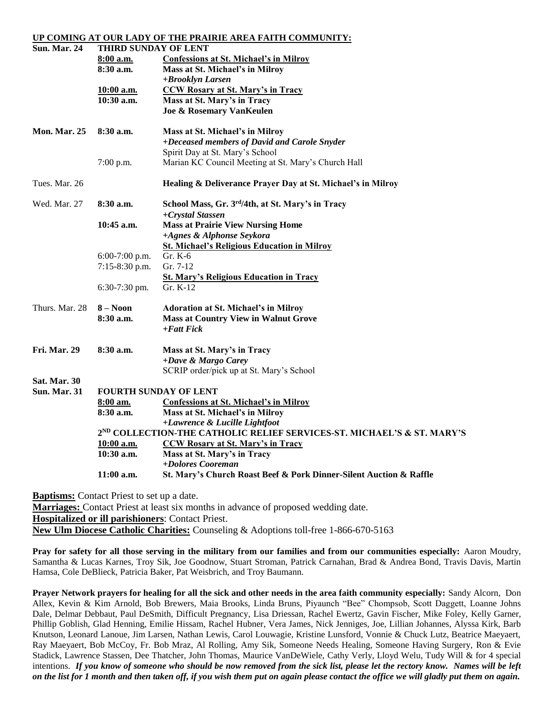#### **UP COMING AT OUR LADY OF THE PRAIRIE AREA FAITH COMMUNITY:**

| <b>Sun. Mar. 24</b> | THIRD SUNDAY OF LENT                                                                                                |                                                                    |  |  |
|---------------------|---------------------------------------------------------------------------------------------------------------------|--------------------------------------------------------------------|--|--|
|                     | 8:00 a.m.                                                                                                           | <b>Confessions at St. Michael's in Milroy</b>                      |  |  |
|                     | 8:30 a.m.                                                                                                           | Mass at St. Michael's in Milroy                                    |  |  |
|                     |                                                                                                                     | +Brooklyn Larsen                                                   |  |  |
|                     | 10:00 a.m.                                                                                                          | <b>CCW Rosary at St. Mary's in Tracy</b>                           |  |  |
|                     | 10:30 a.m.                                                                                                          | Mass at St. Mary's in Tracy                                        |  |  |
|                     |                                                                                                                     | <b>Joe &amp; Rosemary VanKeulen</b>                                |  |  |
| <b>Mon. Mar. 25</b> | $8:30$ a.m.                                                                                                         | Mass at St. Michael's in Milroy                                    |  |  |
|                     |                                                                                                                     | +Deceased members of David and Carole Snyder                       |  |  |
|                     |                                                                                                                     | Spirit Day at St. Mary's School                                    |  |  |
|                     | $7:00$ p.m.                                                                                                         | Marian KC Council Meeting at St. Mary's Church Hall                |  |  |
| Tues. Mar. 26       |                                                                                                                     | Healing & Deliverance Prayer Day at St. Michael's in Milroy        |  |  |
| Wed. Mar. 27        | $8:30$ a.m.                                                                                                         | School Mass, Gr. 3rd/4th, at St. Mary's in Tracy                   |  |  |
|                     |                                                                                                                     | +Crystal Stassen                                                   |  |  |
|                     | $10:45$ a.m.                                                                                                        | <b>Mass at Prairie View Nursing Home</b>                           |  |  |
|                     |                                                                                                                     | +Agnes & Alphonse Seykora                                          |  |  |
|                     |                                                                                                                     | <b>St. Michael's Religious Education in Milroy</b>                 |  |  |
|                     | $6:00-7:00$ p.m.                                                                                                    | Gr. K-6                                                            |  |  |
|                     | 7:15-8:30 p.m.                                                                                                      | Gr. 7-12                                                           |  |  |
|                     |                                                                                                                     | <b>St. Mary's Religious Education in Tracy</b>                     |  |  |
|                     | 6:30-7:30 pm.                                                                                                       | Gr. $K-12$                                                         |  |  |
| Thurs. Mar. 28      | $8 - N00n$                                                                                                          | <b>Adoration at St. Michael's in Milroy</b>                        |  |  |
|                     | $8:30$ a.m.                                                                                                         | <b>Mass at Country View in Walnut Grove</b>                        |  |  |
|                     |                                                                                                                     | $+ F$ att Fick                                                     |  |  |
| <b>Fri. Mar. 29</b> | 8:30a.m.                                                                                                            | Mass at St. Mary's in Tracy                                        |  |  |
|                     |                                                                                                                     | +Dave & Margo Carey                                                |  |  |
|                     |                                                                                                                     | SCRIP order/pick up at St. Mary's School                           |  |  |
| <b>Sat. Mar. 30</b> |                                                                                                                     |                                                                    |  |  |
| <b>Sun. Mar. 31</b> |                                                                                                                     | <b>FOURTH SUNDAY OF LENT</b>                                       |  |  |
|                     | $8:00$ am.                                                                                                          | <b>Confessions at St. Michael's in Milroy</b>                      |  |  |
|                     | $8:30$ a.m.                                                                                                         | Mass at St. Michael's in Milroy                                    |  |  |
|                     | +Lawrence & Lucille Lightfoot<br>2 <sup>ND</sup> COLLECTION-THE CATHOLIC RELIEF SERVICES-ST. MICHAEL'S & ST. MARY'S |                                                                    |  |  |
|                     | 10:00 a.m.                                                                                                          | <b>CCW Rosary at St. Mary's in Tracy</b>                           |  |  |
|                     | 10:30 a.m.                                                                                                          | Mass at St. Mary's in Tracy                                        |  |  |
|                     |                                                                                                                     | +Dolores Cooreman                                                  |  |  |
|                     | 11:00 a.m.                                                                                                          | St. Mary's Church Roast Beef & Pork Dinner-Silent Auction & Raffle |  |  |
|                     |                                                                                                                     |                                                                    |  |  |

**Baptisms:** Contact Priest to set up a date. **Marriages:** Contact Priest at least six months in advance of proposed wedding date.

**Hospitalized or ill parishioners**: Contact Priest.

**New Ulm Diocese Catholic Charities:** Counseling & Adoptions toll-free 1-866-670-5163

**Pray for safety for all those serving in the military from our families and from our communities especially:** Aaron Moudry, Samantha & Lucas Karnes, Troy Sik, Joe Goodnow, Stuart Stroman, Patrick Carnahan, Brad & Andrea Bond, Travis Davis, Martin Hamsa, Cole DeBlieck, Patricia Baker, Pat Weisbrich, and Troy Baumann.

**Prayer Network prayers for healing for all the sick and other needs in the area faith community especially:** Sandy Alcorn, Don Allex, Kevin & Kim Arnold, Bob Brewers, Maia Brooks, Linda Bruns, Piyaunch "Bee" Chompsob, Scott Daggett, Loanne Johns Dale, Delmar Debbaut, Paul DeSmith, Difficult Pregnancy, Lisa Driessan, Rachel Ewertz, Gavin Fischer, Mike Foley, Kelly Garner, Phillip Goblish, Glad Henning, Emilie Hissam, Rachel Hubner, Vera James, Nick Jenniges, Joe, Lillian Johannes, Alyssa Kirk, Barb Knutson, Leonard Lanoue, Jim Larsen, Nathan Lewis, Carol Louwagie, Kristine Lunsford, Vonnie & Chuck Lutz, Beatrice Maeyaert, Ray Maeyaert, Bob McCoy, Fr. Bob Mraz, Al Rolling, Amy Sik, Someone Needs Healing, Someone Having Surgery, Ron & Evie Stadick, Lawrence Stassen, Dee Thatcher, John Thomas, Maurice VanDeWiele, Cathy Verly, Lloyd Welu, Tudy Will & for 4 special intentions. *If you know of someone who should be now removed from the sick list, please let the rectory know. Names will be left on the list for 1 month and then taken off, if you wish them put on again please contact the office we will gladly put them on again.*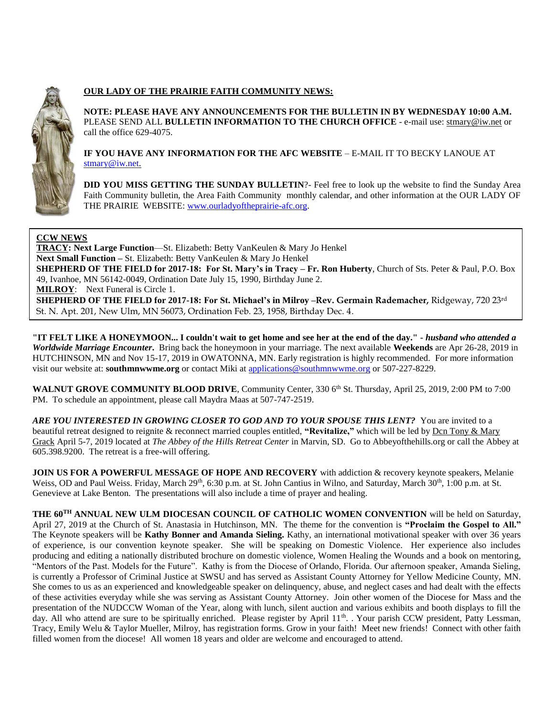

### **OUR LADY OF THE PRAIRIE FAITH COMMUNITY NEWS:**

**NOTE: PLEASE HAVE ANY ANNOUNCEMENTS FOR THE BULLETIN IN BY WEDNESDAY 10:00 A.M.** PLEASE SEND ALL **BULLETIN INFORMATION TO THE CHURCH OFFICE** - e-mail use[: stmary@iw.net](mailto:stmary@iw.net) or call the office 629-4075.

**IF YOU HAVE ANY INFORMATION FOR THE AFC WEBSITE** – E-MAIL IT TO BECKY LANOUE AT [stmary@iw.net.](mailto:stmary@iw.net)

**DID YOU MISS GETTING THE SUNDAY BULLETIN**?- Feel free to look up the website to find the Sunday Area Faith Community bulletin, the Area Faith Community monthly calendar, and other information at the OUR LADY OF THE PRAIRIE WEBSITE: [www.ourladyoftheprairie-afc.org.](http://www.ourladyoftheprairie-afc.org/)

#### **CCW NEWS**

**TRACY: Next Large Function**—St. Elizabeth: Betty VanKeulen & Mary Jo Henkel **Next Small Function –** St. Elizabeth: Betty VanKeulen & Mary Jo Henkel **SHEPHERD OF THE FIELD for 2017-18: For St. Mary's in Tracy – Fr. Ron Huberty**, Church of Sts. Peter & Paul, P.O. Box 49, Ivanhoe, MN 56142-0049, Ordination Date July 15, 1990, Birthday June 2. **MILROY:** Next Funeral is Circle 1. **SHEPHERD OF THE FIELD for 2017-18: For St. Michael's in Milroy –Rev. Germain Rademacher,** Ridgeway, 720 23rd St. N. Apt. 201, New Ulm, MN 56073, Ordination Feb. 23, 1958, Birthday Dec. 4.

**"IT FELT LIKE A HONEYMOON... I couldn't wait to get home and see her at the end of the day." -** *husband who attended a Worldwide Marriage Encounter***.** Bring back the honeymoon in your marriage. The next available **Weekends** are Apr 26-28, 2019 in HUTCHINSON, MN and Nov 15-17, 2019 in OWATONNA, MN. Early registration is highly recommended. For more information visit our website at: **southmnwwme.org** or contact Miki at [applications@southmnwwme.org](mailto:wmandbethnickles@hotmail.com) or 507-227-8229.

WALNUT GROVE COMMUNITY BLOOD DRIVE, Community Center, 330 6<sup>th</sup> St. Thursday, April 25, 2019, 2:00 PM to 7:00 PM. To schedule an appointment, please call Maydra Maas at 507-747-2519.

*ARE YOU INTERESTED IN GROWING CLOSER TO GOD AND TO YOUR SPOUSE THIS LENT?* You are invited to a beautiful retreat designed to reignite & reconnect married couples entitled, **"Revitalize,"** which will be led by Dcn Tony & Mary Grack April 5-7, 2019 located at *The Abbey of the Hills Retreat Center* in Marvin, SD. Go to Abbeyofthehills.org or call the Abbey at 605.398.9200. The retreat is a free-will offering.

**JOIN US FOR A POWERFUL MESSAGE OF HOPE AND RECOVERY** with addiction & recovery keynote speakers, Melanie Weiss, OD and Paul Weiss. Friday, March 29<sup>th</sup>, 6:30 p.m. at St. John Cantius in Wilno, and Saturday, March 30<sup>th</sup>, 1:00 p.m. at St. Genevieve at Lake Benton. The presentations will also include a time of prayer and healing.

**THE 60TH ANNUAL NEW ULM DIOCESAN COUNCIL OF CATHOLIC WOMEN CONVENTION** will be held on Saturday, April 27, 2019 at the Church of St. Anastasia in Hutchinson, MN. The theme for the convention is **"Proclaim the Gospel to All."**  The Keynote speakers will be **Kathy Bonner and Amanda Sieling.** Kathy, an international motivational speaker with over 36 years of experience, is our convention keynote speaker. She will be speaking on Domestic Violence. Her experience also includes producing and editing a nationally distributed brochure on domestic violence, Women Healing the Wounds and a book on mentoring, "Mentors of the Past. Models for the Future". Kathy is from the Diocese of Orlando, Florida. Our afternoon speaker, Amanda Sieling, is currently a Professor of Criminal Justice at SWSU and has served as Assistant County Attorney for Yellow Medicine County, MN. She comes to us as an experienced and knowledgeable speaker on delinquency, abuse, and neglect cases and had dealt with the effects of these activities everyday while she was serving as Assistant County Attorney. Join other women of the Diocese for Mass and the presentation of the NUDCCW Woman of the Year, along with lunch, silent auction and various exhibits and booth displays to fill the day. All who attend are sure to be spiritually enriched. Please register by April 11<sup>th</sup>. Your parish CCW president, Patty Lessman, Tracy, Emily Welu & Taylor Mueller, Milroy, has registration forms. Grow in your faith! Meet new friends! Connect with other faith filled women from the diocese! All women 18 years and older are welcome and encouraged to attend.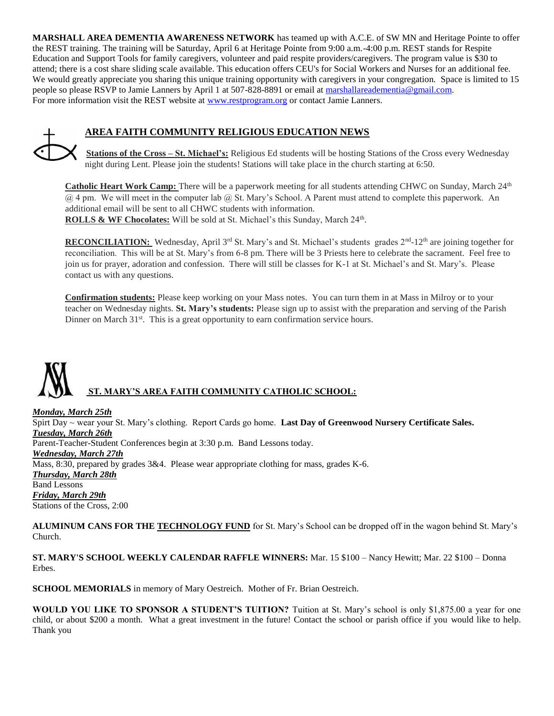**MARSHALL AREA DEMENTIA AWARENESS NETWORK** has teamed up with A.C.E. of SW MN and Heritage Pointe to offer the REST training. The training will be Saturday, April 6 at Heritage Pointe from 9:00 a.m.-4:00 p.m. REST stands for Respite Education and Support Tools for family caregivers, volunteer and paid respite providers/caregivers. The program value is \$30 to attend; there is a cost share sliding scale available. This education offers CEU's for Social Workers and Nurses for an additional fee. We would greatly appreciate you sharing this unique training opportunity with caregivers in your congregation. Space is limited to 15 people so please RSVP to Jamie Lanners by April 1 at 507-828-8891 or email at [marshallareadementia@gmail.com.](mailto:marshallareadementia@gmail.com) For more information visit the REST website at [www.restprogram.org](http://www.restprogram.org/) or contact Jamie Lanners.



## **AREA FAITH COMMUNITY RELIGIOUS EDUCATION NEWS**

**Stations of the Cross – St. Michael's:** Religious Ed students will be hosting Stations of the Cross every Wednesday night during Lent. Please join the students! Stations will take place in the church starting at 6:50.

**Catholic Heart Work Camp:** There will be a paperwork meeting for all students attending CHWC on Sunday, March 24<sup>th</sup> @ 4 pm. We will meet in the computer lab @ St. Mary's School. A Parent must attend to complete this paperwork. An additional email will be sent to all CHWC students with information. ROLLS & WF Chocolates: Will be sold at St. Michael's this Sunday, March 24<sup>th</sup>.

RECONCILIATION: Wednesday, April 3<sup>rd</sup> St. Mary's and St. Michael's students grades 2<sup>nd</sup>-12<sup>th</sup> are joining together for reconciliation. This will be at St. Mary's from 6-8 pm. There will be 3 Priests here to celebrate the sacrament. Feel free to join us for prayer, adoration and confession. There will still be classes for K-1 at St. Michael's and St. Mary's. Please contact us with any questions.

**Confirmation students:** Please keep working on your Mass notes. You can turn them in at Mass in Milroy or to your teacher on Wednesday nights. **St. Mary's students:** Please sign up to assist with the preparation and serving of the Parish Dinner on March  $31<sup>st</sup>$ . This is a great opportunity to earn confirmation service hours.

# **ST. MARY'S AREA FAITH COMMUNITY CATHOLIC SCHOOL:**

*Monday, March 25th* Spirt Day ~ wear your St. Mary's clothing. Report Cards go home. **Last Day of Greenwood Nursery Certificate Sales.** *Tuesday, March 26th*  Parent-Teacher-Student Conferences begin at 3:30 p.m. Band Lessons today. *Wednesday, March 27th* Mass, 8:30, prepared by grades 3&4. Please wear appropriate clothing for mass, grades K-6. *Thursday, March 28th* Band Lessons *Friday, March 29th* Stations of the Cross, 2:00

**ALUMINUM CANS FOR THE TECHNOLOGY FUND** for St. Mary's School can be dropped off in the wagon behind St. Mary's Church.

**ST. MARY'S SCHOOL WEEKLY CALENDAR RAFFLE WINNERS:** Mar. 15 \$100 – Nancy Hewitt; Mar. 22 \$100 – Donna Erbes.

**SCHOOL MEMORIALS** in memory of Mary Oestreich. Mother of Fr. Brian Oestreich.

**WOULD YOU LIKE TO SPONSOR A STUDENT'S TUITION?** Tuition at St. Mary's school is only \$1,875.00 a year for one child, or about \$200 a month. What a great investment in the future! Contact the school or parish office if you would like to help. Thank you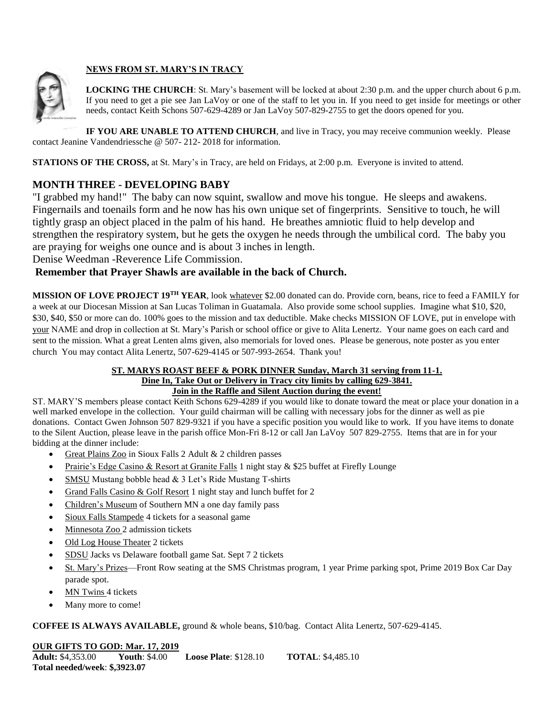

## **NEWS FROM ST. MARY'S IN TRACY**

**LOCKING THE CHURCH**: St. Mary's basement will be locked at about 2:30 p.m. and the upper church about 6 p.m. If you need to get a pie see Jan LaVoy or one of the staff to let you in. If you need to get inside for meetings or other needs, contact Keith Schons 507-629-4289 or Jan LaVoy 507-829-2755 to get the doors opened for you.

**IF YOU ARE UNABLE TO ATTEND CHURCH**, and live in Tracy, you may receive communion weekly. Please contact Jeanine Vandendriessche @ 507- 212- 2018 for information.

**STATIONS OF THE CROSS, at St. Mary's in Tracy, are held on Fridays, at 2:00 p.m. Everyone is invited to attend.** 

## **MONTH THREE - DEVELOPING BABY**

"I grabbed my hand!" The baby can now squint, swallow and move his tongue. He sleeps and awakens. Fingernails and toenails form and he now has his own unique set of fingerprints. Sensitive to touch, he will tightly grasp an object placed in the palm of his hand. He breathes amniotic fluid to help develop and strengthen the respiratory system, but he gets the oxygen he needs through the umbilical cord. The baby you are praying for weighs one ounce and is about 3 inches in length.

Denise Weedman -Reverence Life Commission.

## **Remember that Prayer Shawls are available in the back of Church.**

**MISSION OF LOVE PROJECT 19TH YEAR**, look whatever \$2.00 donated can do. Provide corn, beans, rice to feed a FAMILY for a week at our Diocesan Mission at San Lucas Toliman in Guatamala. Also provide some school supplies. Imagine what \$10, \$20, \$30, \$40, \$50 or more can do. 100% goes to the mission and tax deductible. Make checks MISSION OF LOVE, put in envelope with your NAME and drop in collection at St. Mary's Parish or school office or give to Alita Lenertz. Your name goes on each card and sent to the mission. What a great Lenten alms given, also memorials for loved ones. Please be generous, note poster as you enter church You may contact Alita Lenertz, 507-629-4145 or 507-993-2654. Thank you!

#### **ST. MARYS ROAST BEEF & PORK DINNER Sunday, March 31 serving from 11-1. Dine In, Take Out or Delivery in Tracy city limits by calling 629-3841. Join in the Raffle and Silent Auction during the event!**

ST. MARY'S members please contact Keith Schons 629-4289 if you would like to donate toward the meat or place your donation in a well marked envelope in the collection. Your guild chairman will be calling with necessary jobs for the dinner as well as pie donations. Contact Gwen Johnson 507 829-9321 if you have a specific position you would like to work. If you have items to donate to the Silent Auction, please leave in the parish office Mon-Fri 8-12 or call Jan LaVoy 507 829-2755. Items that are in for your bidding at the dinner include:

- Great Plains Zoo in Sioux Falls 2 Adult  $& 2$  children passes
- Prairie's Edge Casino & Resort at Granite Falls 1 night stay & \$25 buffet at Firefly Lounge
- SMSU Mustang bobble head & 3 Let's Ride Mustang T-shirts
- Grand Falls Casino & Golf Resort 1 night stay and lunch buffet for 2
- Children's Museum of Southern MN a one day family pass
- Sioux Falls Stampede 4 tickets for a seasonal game
- Minnesota Zoo 2 admission tickets
- Old Log House Theater 2 tickets
- SDSU Jacks vs Delaware football game Sat. Sept 7 2 tickets
- St. Mary's Prizes—Front Row seating at the SMS Christmas program, 1 year Prime parking spot, Prime 2019 Box Car Day parade spot.
- MN Twins 4 tickets
- Many more to come!

#### **COFFEE IS ALWAYS AVAILABLE,** ground & whole beans, \$10/bag. Contact Alita Lenertz, 507-629-4145.

## **OUR GIFTS TO GOD: Mar. 17, 2019**

**Adult:** \$4,353.00 **Youth**: \$4.00 **Loose Plate**: \$128.10 **TOTAL**: \$4,485.10 **Total needed/week**: **\$,3923.07**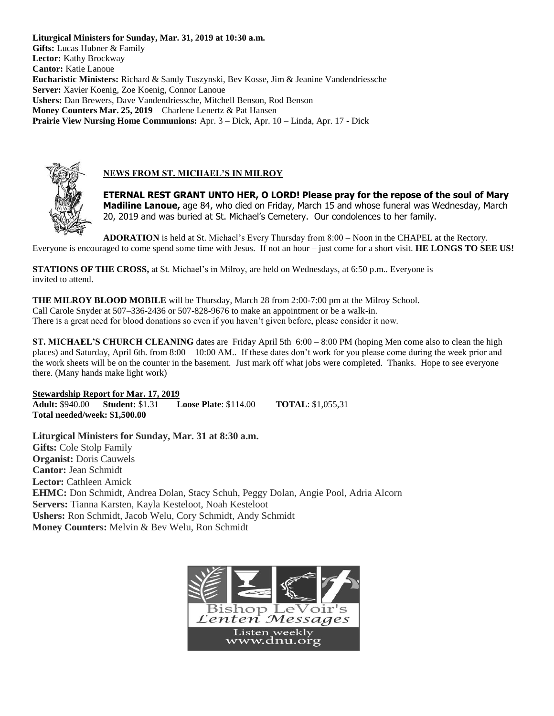**Liturgical Ministers for Sunday, Mar. 31, 2019 at 10:30 a.m. Gifts:** Lucas Hubner & Family **Lector:** Kathy Brockway **Cantor:** Katie Lanoue **Eucharistic Ministers:** Richard & Sandy Tuszynski, Bev Kosse, Jim & Jeanine Vandendriessche **Server:** Xavier Koenig, Zoe Koenig, Connor Lanoue **Ushers:** Dan Brewers, Dave Vandendriessche, Mitchell Benson, Rod Benson **Money Counters Mar. 25, 2019** – Charlene Lenertz & Pat Hansen **Prairie View Nursing Home Communions:** Apr. 3 – Dick, Apr. 10 – Linda, Apr. 17 - Dick



## **NEWS FROM ST. MICHAEL'S IN MILROY**

**ETERNAL REST GRANT UNTO HER, O LORD! Please pray for the repose of the soul of Mary Madiline Lanoue,** age 84, who died on Friday, March 15 and whose funeral was Wednesday, March 20, 2019 and was buried at St. Michael's Cemetery. Our condolences to her family.

**ADORATION** is held at St. Michael's Every Thursday from 8:00 – Noon in the CHAPEL at the Rectory. Everyone is encouraged to come spend some time with Jesus. If not an hour – just come for a short visit. **HE LONGS TO SEE US!**

**STATIONS OF THE CROSS,** at St. Michael's in Milroy, are held on Wednesdays, at 6:50 p.m.. Everyone is invited to attend.

**THE MILROY BLOOD MOBILE** will be Thursday, March 28 from 2:00-7:00 pm at the Milroy School. Call Carole Snyder at 507–336-2436 or 507-828-9676 to make an appointment or be a walk-in. There is a great need for blood donations so even if you haven't given before, please consider it now.

**ST. MICHAEL'S CHURCH CLEANING** dates are Friday April 5th 6:00 – 8:00 PM (hoping Men come also to clean the high places) and Saturday, April 6th. from 8:00 – 10:00 AM.. If these dates don't work for you please come during the week prior and the work sheets will be on the counter in the basement. Just mark off what jobs were completed. Thanks. Hope to see everyone there. (Many hands make light work)

**Stewardship Report for Mar. 17, 2019 Adult:** \$940.00 **Student:** \$1.31 **Loose Plate**: \$114.00 **TOTAL**: \$1,055,31 **Total needed/week: \$1,500.00**

**Liturgical Ministers for Sunday, Mar. 31 at 8:30 a.m. Gifts:** Cole Stolp Family **Organist:** Doris Cauwels **Cantor:** Jean Schmidt **Lector:** Cathleen Amick **EHMC:** Don Schmidt, Andrea Dolan, Stacy Schuh, Peggy Dolan, Angie Pool, Adria Alcorn **Servers:** Tianna Karsten, Kayla Kesteloot, Noah Kesteloot **Ushers:** Ron Schmidt, Jacob Welu, Cory Schmidt, Andy Schmidt **Money Counters:** Melvin & Bev Welu, Ron Schmidt